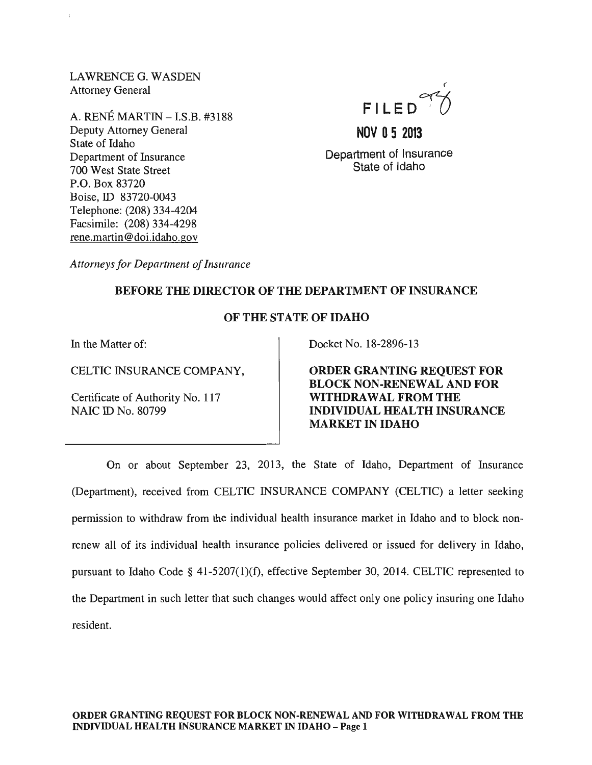LAWRENCE G. WASDEN Attorney General

A. RENE MARTIN - I.S.B. #3188 Deputy Attorney General State of Idaho Department of Insurance 700 West State Street P.O. Box 83720 Boise, ID 83720-0043 Telephone: (208) 334-4204 Facsimile: (208) 334-4298 rene. martin @doi.idaho.gov



# **NOV 05 2013**

Department of Insurance State of Idaho

*Attorneys for Department of Insurance* 

## BEFORE THE DIRECTOR OF THE DEPARTMENT OF INSURANCE

## OF THE STATE OF IDAHO

Certificate of Authority No. 117 NAIC ID No. 80799

In the Matter of:  $\qquad \qquad$  Docket No. 18-2896-13

CELTIC INSURANCE COMPANY, ORDER GRANTING REQUEST FOR BLOCK NON-RENEWAL AND FOR WITHDRAWAL FROM THE INDIVIDUAL HEALTH INSURANCE MARKET IN IDAHO

On or about September 23, 2013, the State of Idaho, Department of Insurance (Department), received from CELTIC INSURANCE COMPANY (CELTIC) a letter seeking permission to withdraw from the individual health insurance market in Idaho and to block nonrenew all of its individual health insurance policies delivered or issued for delivery in Idaho, pursuant to Idaho Code § 41-5207(1)(f), effective September 30, 2014. CELTIC represented to the Department in such letter that such changes would affect only one policy insuring one Idaho resident.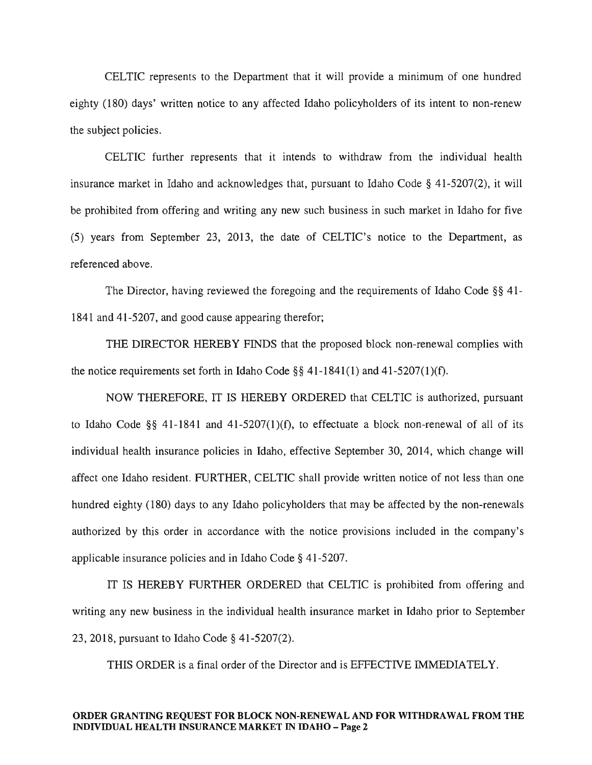CELTIC represents to the Department that it will provide a minimum of one hundred eighty (180) days' written notice to any affected Idaho policyholders of its intent to non-renew the subject policies.

CELTIC further represents that it intends to withdraw from the individual health insurance market in Idaho and acknowledges that, pursuant to Idaho Code § 41-5207(2), it will be prohibited from offering and writing any new such business in such market in Idaho for five (5) years from September 23, 2013, the date of CELTIC's notice to the Department, as referenced above.

The Director, having reviewed the foregoing and the requirements of Idaho Code §§ 41- 1841 and 41-5207, and good cause appearing therefor;

THE DIRECTOR HEREBY FINDS that the proposed block non-renewal complies with the notice requirements set forth in Idaho Code  $\S\S 41-1841(1)$  and  $41-5207(1)(f)$ .

NOW THEREFORE, IT IS HEREBY ORDERED that CELTIC is authorized, pursuant to Idaho Code §§ 41-1841 and 41-5207(1)(f), to effectuate a block non-renewal of all of its individual health insurance policies in Idaho, effective September 30, 2014, which change will affect one Idaho resident. FURTHER, CELTIC shall provide written notice of not less than one hundred eighty (180) days to any Idaho policyholders that may be affected by the non-renewals authorized by this order in accordance with the notice provisions included in the company's applicable insurance policies and in Idaho Code § 41-5207.

IT IS HEREBY FURTHER ORDERED that CELTIC is prohibited from offering and writing any new business in the individual health insurance market in Idaho prior to September 23,2018, pursuant to Idaho Code § 41-5207(2).

THIS ORDER is a final order of the Director and is EFFECTIVE IMMEDIATELY.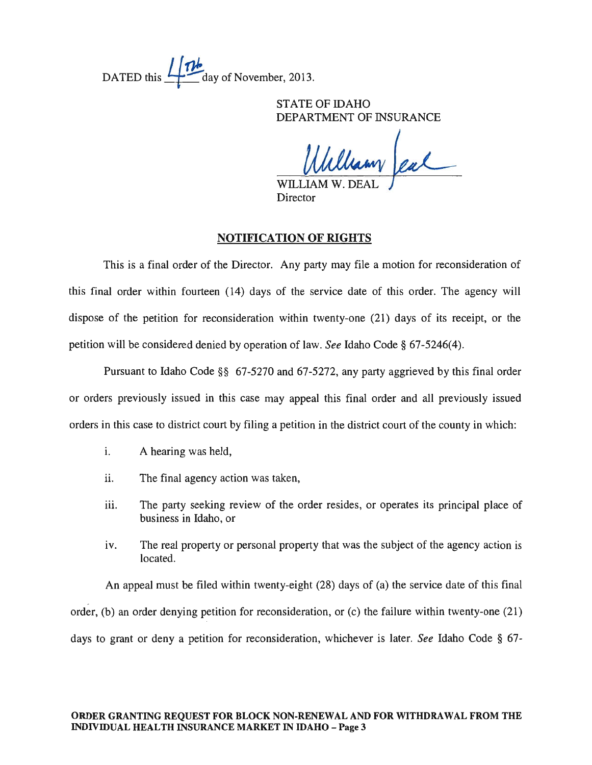DATED this  $\mathbf{1}$   $\mathbf{1}$  day of November, 2013.

STATE OF IDAHO DEPARTMENT OF INSURANCE

William Jeal

Director

## NOTIFICATION OF RIGHTS

This is a final order of the Director. Any party may file a motion for reconsideration of this final order within fourteen (14) days of the service date of this order. The agency will dispose of the petition for reconsideration within twenty-one (21) days of its receipt, or the petition will be considered denied by operation of law. *See* Idaho Code § 67-5246(4).

Pursuant to Idaho Code §§ 67-5270 and 67-5272, any party aggrieved by this final order or orders previously issued in this case may appeal this final order and all previously issued orders in this case to district court by filing a petition in the district court of the county in which:

- i. A hearing was held,
- ii. The final agency action was taken,
- iii. The party seeking review of the order resides, or operates its principal place of business in Idaho, or
- iv. The real property or personal property that was the subject of the agency action is located.

. An appeal must be filed within twenty-eight (28) days of (a) the service date of this final order, (b) an order denying petition for reconsideration, or (c) the failure within twenty-one (21) days to grant or deny a petition for reconsideration, whichever is later. *See* Idaho Code § 67